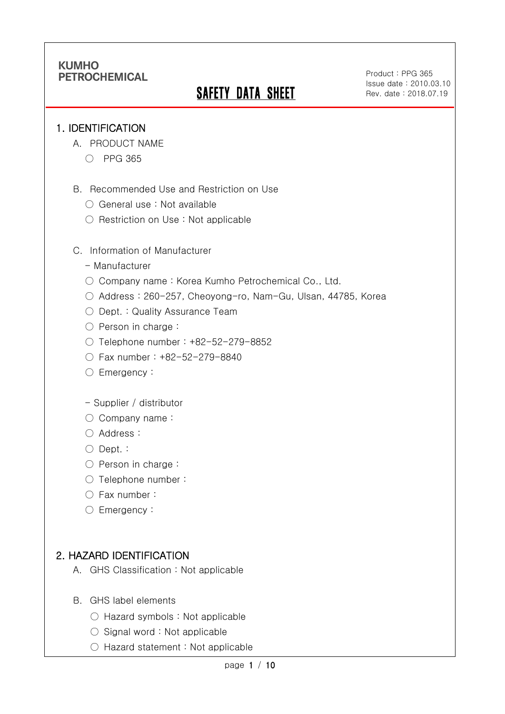# **SAFETY DATA SHEET**

Product : PPG 365 Issue date : 2010.03.10 Rev. date : 2018.07.19

.

#### 1. IDENTIFICATION

Ī

- A. PRODUCT NAME
	- PPG 365
- B. Recommended Use and Restriction on Use
	- General use : Not available
	- Restriction on Use : Not applicable
- C. Information of Manufacturer
	- Manufacturer
	- Company name: Korea Kumho Petrochemical Co., Ltd.
	- Address : 260-257, Cheoyong-ro, Nam-Gu, Ulsan, 44785, Korea
	- Dept. : Quality Assurance Team
	- Person in charge :
	- Telephone number : +82-52-279-8852
	- Fax number : +82-52-279-8840
	- Emergency:
	- Supplier / distributor
	- Company name:
	- Address :
	- Dept. :
	- Person in charge :
	- Telephone number :
	- Fax number :
	- Emergency:

#### 2. HAZARD IDENTIFICATION

- A. GHS Classification : Not applicable
- B. GHS label elements
	- Hazard symbols : Not applicable
	- Signal word : Not applicable
	- Hazard statement : Not applicable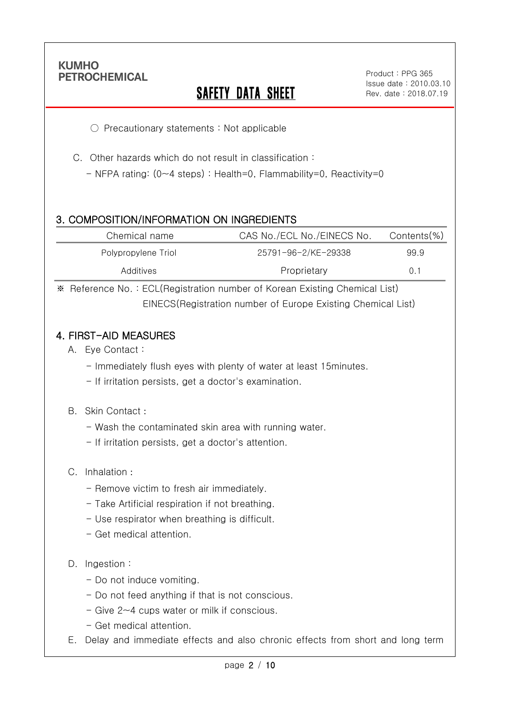Ī

# **SAFETY DATA SHEET**

.

○ Precautionary statements : Not applicable

C. Other hazards which do not result in classification :

- NFPA rating: (0~4 steps) : Health=0, Flammability=0, Reactivity=0

# 3. COMPOSITION/INFORMATION ON INGREDIENTS

| Chemical name       | CAS No./ECL No./EINECS No. | Contents(%) |
|---------------------|----------------------------|-------------|
| Polypropylene Triol | 25791-96-2/KE-29338        | 99.9        |
| Additives           | Proprietary                | 0.1         |

※ Reference No. : ECL(Registration number of Korean Existing Chemical List) EINECS(Registration number of Europe Existing Chemical List)

### 4. FIRST-AID MEASURES

- A. Eye Contact :
	- Immediately flush eyes with plenty of water at least 15minutes.
	- If irritation persists, get a doctor's examination.

#### B. Skin Contact :

- Wash the contaminated skin area with running water.
- If irritation persists, get a doctor's attention.

#### C. Inhalation :

- Remove victim to fresh air immediately.
- Take Artificial respiration if not breathing.
- Use respirator when breathing is difficult.
- Get medical attention.

#### D. Ingestion:

- Do not induce vomiting.
- Do not feed anything if that is not conscious.
- Give 2~4 cups water or milk if conscious.
- Get medical attention.
- E. Delay and immediate effects and also chronic effects from short and long term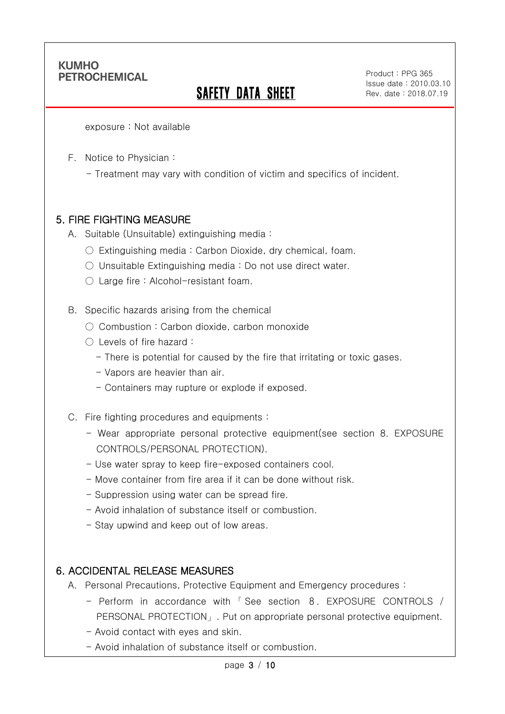Ī

# **SAFETY DATA SHEET**

Product : PPG 365 Issue date : 2010.03.10 Rev. date : 2018.07.19

.

exposure : Not available

F. Notice to Physician :

- Treatment may vary with condition of victim and specifics of incident.

#### 5. FIRE FIGHTING MEASURE

- A. Suitable (Unsuitable) extinguishing media :
	- $\circ$  Extinguishing media : Carbon Dioxide, dry chemical, foam.
	- Unsuitable Extinguishing media : Do not use direct water.
	- Large fire : Alcohol-resistant foam.

B. Specific hazards arising from the chemical

- Combustion: Carbon dioxide, carbon monoxide
- Levels of fire hazard :
	- There is potential for caused by the fire that irritating or toxic gases.
	- Vapors are heavier than air.
	- Containers may rupture or explode if exposed.
- C. Fire fighting procedures and equipments :
	- Wear appropriate personal protective equipment(see section 8. EXPOSURE CONTROLS/PERSONAL PROTECTION).
	- Use water spray to keep fire-exposed containers cool.
	- Move container from fire area if it can be done without risk.
	- Suppression using water can be spread fire.
	- Avoid inhalation of substance itself or combustion.
	- Stay upwind and keep out of low areas.

#### 6. ACCIDENTAL RELEASE MEASURES

- A. Personal Precautions, Protective Equipment and Emergency procedures :
	- Perform in accordance with 「 See section 8. EXPOSURE CONTROLS / PERSONAL PROTECTION」. Put on appropriate personal protective equipment.
	- Avoid contact with eyes and skin.
	- Avoid inhalation of substance itself or combustion.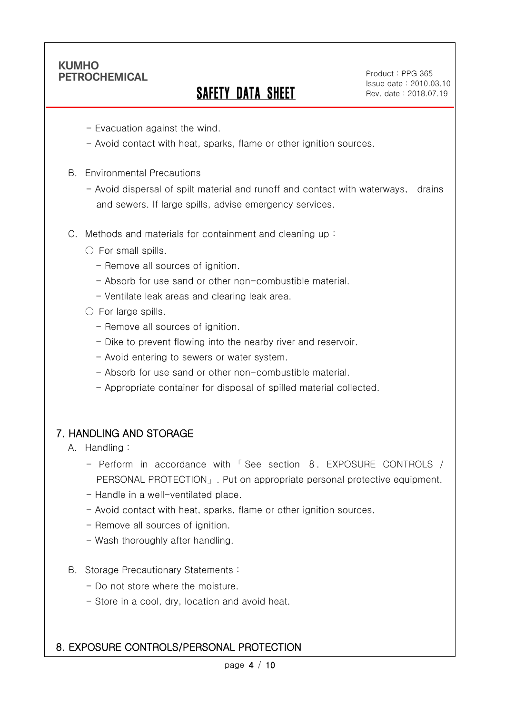Ī

# **SAFETY DATA SHEET**

Product : PPG 365 Issue date : 2010.03.10 Rev. date : 2018.07.19

.

- Evacuation against the wind.
- Avoid contact with heat, sparks, flame or other ignition sources.
- B. Environmental Precautions
	- Avoid dispersal of spilt material and runoff and contact with waterways, drains and sewers. If large spills, advise emergency services.
- C. Methods and materials for containment and cleaning up :
	- $\bigcirc$  For small spills.
		- Remove all sources of ignition.
		- Absorb for use sand or other non-combustible material.
		- Ventilate leak areas and clearing leak area.
	- For large spills.
		- Remove all sources of ignition.
		- Dike to prevent flowing into the nearby river and reservoir.
		- Avoid entering to sewers or water system.
		- Absorb for use sand or other non-combustible material.
		- Appropriate container for disposal of spilled material collected.

#### 7. HANDLING AND STORAGE

- A. Handling :
	- Perform in accordance with 「 See section 8. EXPOSURE CONTROLS / PERSONAL PROTECTION」. Put on appropriate personal protective equipment.
	- Handle in a well-ventilated place.
	- Avoid contact with heat, sparks, flame or other ignition sources.
	- Remove all sources of ignition.
	- Wash thoroughly after handling.
- B. Storage Precautionary Statements :
	- Do not store where the moisture.
	- Store in a cool, dry, location and avoid heat.

#### 8. EXPOSURE CONTROLS/PERSONAL PROTECTION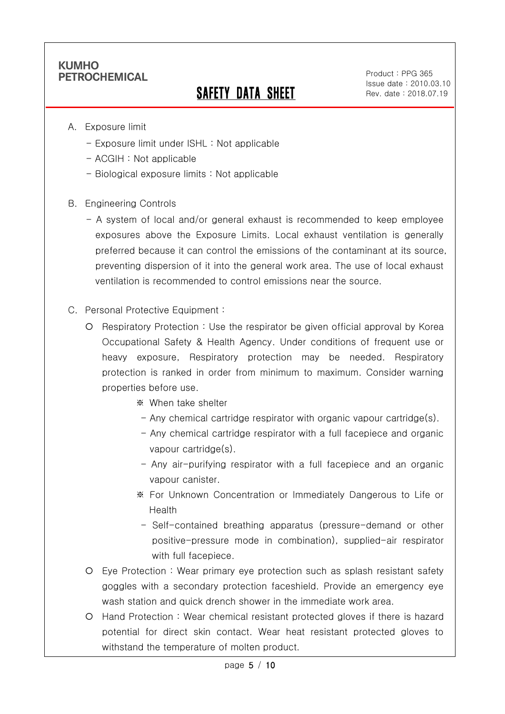Ī

# SAFETY DATA SHEET

Product : PPG 365 Issue date : 2010.03.10 Rev. date : 2018.07.19

.

- A. Exposure limit
	- Exposure limit under ISHL : Not applicable
	- ACGIH : Not applicable
	- Biological exposure limits : Not applicable
- B. Engineering Controls
	- A system of local and/or general exhaust is recommended to keep employee exposures above the Exposure Limits. Local exhaust ventilation is generally preferred because it can control the emissions of the contaminant at its source, preventing dispersion of it into the general work area. The use of local exhaust ventilation is recommended to control emissions near the source.
- C. Personal Protective Equipment :
	- Respiratory Protection : Use the respirator be given official approval by Korea Occupational Safety & Health Agency. Under conditions of frequent use or heavy exposure, Respiratory protection may be needed. Respiratory protection is ranked in order from minimum to maximum. Consider warning properties before use.
		- ※ When take shelter
		- $-$  Any chemical cartridge respirator with organic vapour cartridge(s).
		- Any chemical cartridge respirator with a full facepiece and organic vapour cartridge(s).
		- Any air-purifying respirator with a full facepiece and an organic vapour canister.
		- ※ For Unknown Concentration or Immediately Dangerous to Life or Health
		- Self-contained breathing apparatus (pressure-demand or other positive-pressure mode in combination), supplied-air respirator with full facepiece.
	- Eye Protection : Wear primary eye protection such as splash resistant safety goggles with a secondary protection faceshield. Provide an emergency eye wash station and quick drench shower in the immediate work area.
	- Hand Protection : Wear chemical resistant protected gloves if there is hazard potential for direct skin contact. Wear heat resistant protected gloves to withstand the temperature of molten product.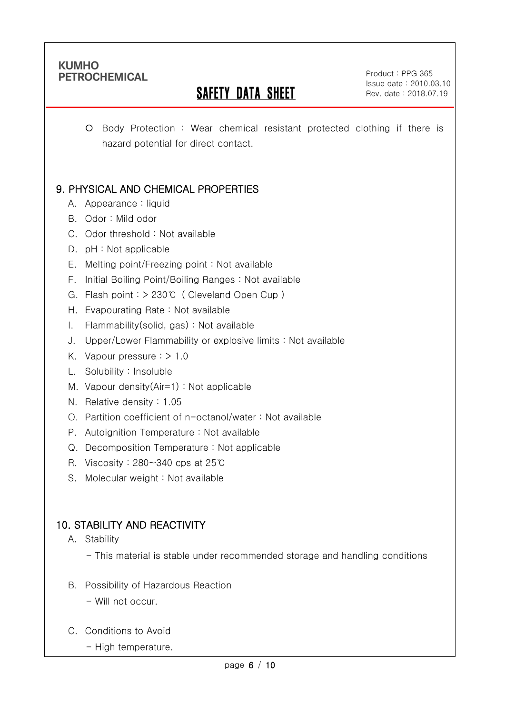Ī

# **SAFETY DATA SHEET**

Product : PPG 365 Issue date : 2010.03.10 Rev. date : 2018.07.19

.

 Body Protection : Wear chemical resistant protected clothing if there is hazard potential for direct contact.

# 9. PHYSICAL AND CHEMICAL PROPERTIES

- A. Appearance : liquid
- B. Odor : Mild odor
- C. Odor threshold : Not available
- D. pH : Not applicable
- E. Melting point/Freezing point : Not available
- F. Initial Boiling Point/Boiling Ranges : Not available
- G. Flash point : > 230℃ ( Cleveland Open Cup )
- H. Evapourating Rate : Not available
- I. Flammability(solid, gas) : Not available
- J. Upper/Lower Flammability or explosive limits : Not available
- K. Vapour pressure  $:$  > 1.0
- L. Solubility : Insoluble
- M. Vapour density(Air=1) : Not applicable
- N. Relative density : 1.05
- O. Partition coefficient of n-octanol/water : Not available
- P. Autoignition Temperature : Not available
- Q. Decomposition Temperature : Not applicable
- R. Viscosity : 280~340 cps at 25℃
- S. Molecular weight: Not available

# 10. STABILITY AND REACTIVITY

- A. Stability
	- This material is stable under recommended storage and handling conditions
- B. Possibility of Hazardous Reaction
	- Will not occur.
- C. Conditions to Avoid
	- High temperature.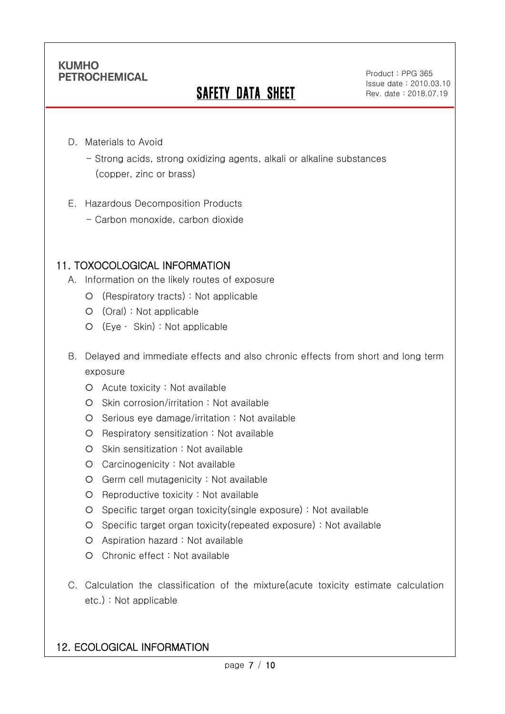Ī

# **SAFETY DATA SHEET**

Product : PPG 365 Issue date : 2010.03.10 Rev. date : 2018.07.19

.

- D. Materials to Avoid
	- Strong acids, strong oxidizing agents, alkali or alkaline substances (copper, zinc or brass)
- E. Hazardous Decomposition Products
	- Carbon monoxide, carbon dioxide

### 11. TOXOCOLOGICAL INFORMATION

- A. Information on the likely routes of exposure
	- (Respiratory tracts) : Not applicable
	- (Oral) : Not applicable
	- (Eye ∙ Skin) : Not applicable
- B. Delayed and immediate effects and also chronic effects from short and long term exposure
	- Acute toxicity : Not available
	- O Skin corrosion/irritation : Not available
	- O Serious eye damage/irritation : Not available
	- O Respiratory sensitization : Not available
	- O Skin sensitization : Not available
	- Carcinogenicity : Not available
	- Germ cell mutagenicity : Not available
	- O Reproductive toxicity : Not available
	- Specific target organ toxicity(single exposure) : Not available
	- Specific target organ toxicity(repeated exposure) : Not available
	- Aspiration hazard : Not available
	- Chronic effect : Not available
- C. Calculation the classification of the mixture(acute toxicity estimate calculation etc.) : Not applicable

#### 12. ECOLOGICAL INFORMATION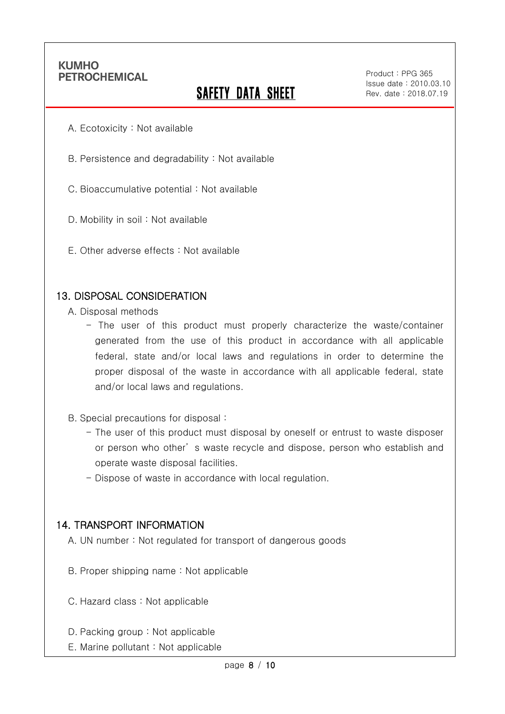Ī

# **SAFETY DATA SHEET**

Product : PPG 365 Issue date : 2010.03.10 Rev. date : 2018.07.19

.

- A. Ecotoxicity : Not available
- B. Persistence and degradability : Not available
- C. Bioaccumulative potential : Not available
- D. Mobility in soil : Not available
- E. Other adverse effects : Not available

#### 13. DISPOSAL CONSIDERATION

- A. Disposal methods
	- The user of this product must properly characterize the waste/container generated from the use of this product in accordance with all applicable federal, state and/or local laws and regulations in order to determine the proper disposal of the waste in accordance with all applicable federal, state and/or local laws and regulations.
- B. Special precautions for disposal :
	- The user of this product must disposal by oneself or entrust to waste disposer or person who other' s waste recycle and dispose, person who establish and operate waste disposal facilities.
	- Dispose of waste in accordance with local regulation.

#### 14. TRANSPORT INFORMATION

- A. UN number : Not regulated for transport of dangerous goods
- B. Proper shipping name : Not applicable
- C. Hazard class : Not applicable
- D. Packing group : Not applicable
- E. Marine pollutant : Not applicable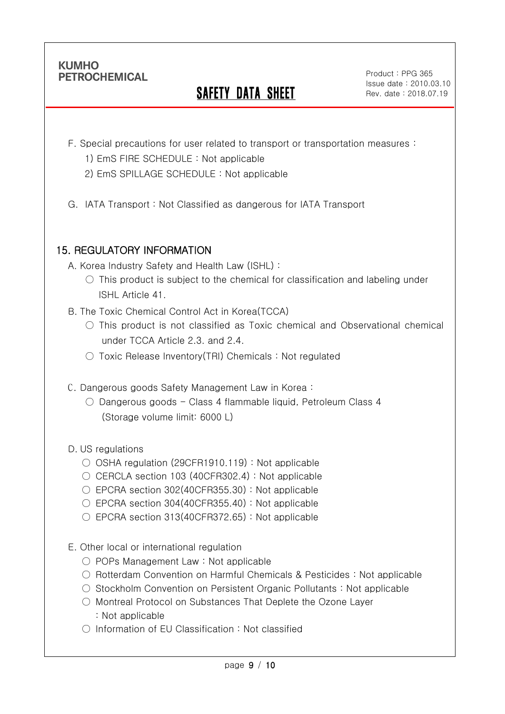Ī

# **SAFETY DATA SHEET**

Product : PPG 365 Issue date : 2010.03.10 Rev. date : 2018.07.19

.

- F. Special precautions for user related to transport or transportation measures :
	- 1) EmS FIRE SCHEDULE : Not applicable
	- 2) EmS SPILLAGE SCHEDULE : Not applicable
- G. IATA Transport : Not Classified as dangerous for IATA Transport

# 15. REGULATORY INFORMATION

A. Korea Industry Safety and Health Law (ISHL) :

- $\circ$  This product is subject to the chemical for classification and labeling under ISHL Article 41.
- B. The Toxic Chemical Control Act in Korea(TCCA)
	- This product is not classified as Toxic chemical and Observational chemical under TCCA Article 2.3. and 2.4.
	- Toxic Release Inventory(TRI) Chemicals : Not regulated
- C. Dangerous goods Safety Management Law in Korea :
	- $\circ$  Dangerous goods Class 4 flammable liquid, Petroleum Class 4 (Storage volume limit: 6000 L)

D. US regulations

- OSHA regulation (29CFR1910.119) : Not applicable
- $\circ$  CERCLA section 103 (40CFR302.4) : Not applicable
- EPCRA section 302(40CFR355.30): Not applicable
- $\circ$  EPCRA section 304(40CFR355.40) : Not applicable
- EPCRA section 313(40CFR372.65): Not applicable
- E. Other local or international regulation
	- POPs Management Law : Not applicable
	- Rotterdam Convention on Harmful Chemicals & Pesticides : Not applicable
	- Stockholm Convention on Persistent Organic Pollutants : Not applicable
	- Montreal Protocol on Substances That Deplete the Ozone Layer : Not applicable
	- Information of EU Classification : Not classified